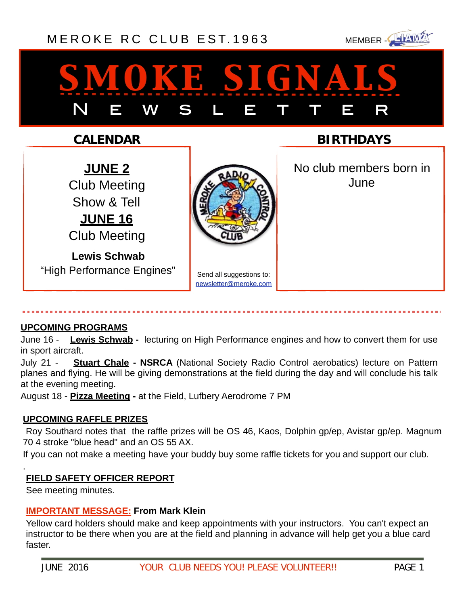### [MEROKE RC CLUB](http://www.meroke.com) EST.1963 MEMBER-



# *smoke signals* N E W S L E T T E R

### **CALENDAR**

**JUNE 2** Club Meeting Show & Tell **JUNE 16** Club Meeting

**Lewis Schwab** "High Performance Engines"



Send all suggestions to: [newsletter@meroke.com](mailto:newsletter@meroke.com)

**BIRTHDAYS**

 No club members born in June

### **UPCOMING PROGRAMS**

June 16 - **Lewis Schwab -** lecturing on High Performance engines and how to convert them for use in sport aircraft.

July 21 - **Stuart Chale - NSRCA** (National Society Radio Control aerobatics) lecture on Pattern planes and flying. He will be giving demonstrations at the field during the day and will conclude his talk at the evening meeting.

August 18 - **Pizza Meeting -** at the Field, Lufbery Aerodrome 7 PM

### **UPCOMING RAFFLE PRIZES**

 Roy Southard notes that the raffle prizes will be OS 46, Kaos, Dolphin gp/ep, Avistar gp/ep. Magnum 70 4 stroke "blue head" and an OS 55 AX.

If you can not make a meeting have your buddy buy some raffle tickets for you and support our club.

### **FIELD SAFETY OFFICER REPORT**

See meeting minutes.

.

### **IMPORTANT MESSAGE: From Mark Klein**

Yellow card holders should make and keep appointments with your instructors. You can't expect an instructor to be there when you are at the field and planning in advance will help get you a blue card faster.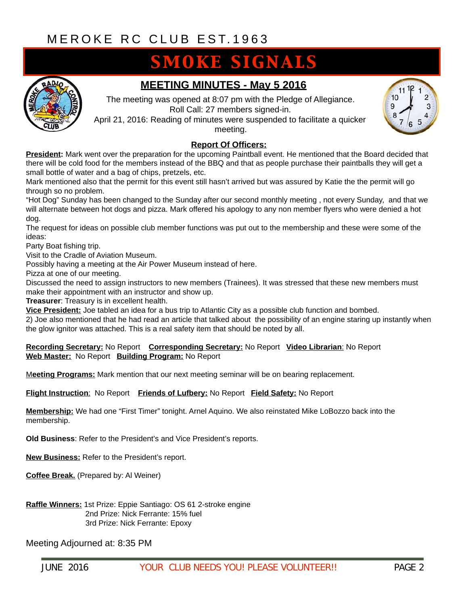### **SMOKE SIGNALS**



### **MEETING MINUTES - May 5 2016**

The meeting was opened at 8:07 pm with the Pledge of Allegiance. Roll Call: 27 members signed-in.

April 21, 2016: Reading of minutes were suspended to facilitate a quicker meeting.



#### **Report Of Officers:**

**President:** Mark went over the preparation for the upcoming Paintball event. He mentioned that the Board decided that there will be cold food for the members instead of the BBQ and that as people purchase their paintballs they will get a small bottle of water and a bag of chips, pretzels, etc.

Mark mentioned also that the permit for this event still hasn't arrived but was assured by Katie the the permit will go through so no problem.

"Hot Dog" Sunday has been changed to the Sunday after our second monthly meeting , not every Sunday, and that we will alternate between hot dogs and pizza. Mark offered his apology to any non member flyers who were denied a hot dog.

The request for ideas on possible club member functions was put out to the membership and these were some of the ideas:

Party Boat fishing trip.

Visit to the Cradle of Aviation Museum.

Possibly having a meeting at the Air Power Museum instead of here.

Pizza at one of our meeting.

Discussed the need to assign instructors to new members (Trainees). It was stressed that these new members must make their appointment with an instructor and show up.

**Treasurer**: Treasury is in excellent health.

**Vice President:** Joe tabled an idea for a bus trip to Atlantic City as a possible club function and bombed.

2) Joe also mentioned that he had read an article that talked about the possibility of an engine staring up instantly when the glow ignitor was attached. This is a real safety item that should be noted by all.

#### **Recording Secretary:** No Report **Corresponding Secretary:** No Report **Video Librarian**: No Report **Web Master:** No Report **Building Program:** No Report

M**eeting Programs:** Mark mention that our next meeting seminar will be on bearing replacement.

**Flight Instruction**: No Report **Friends of Lufbery:** No Report **Field Safety:** No Report

**Membership:** We had one "First Timer" tonight. Arnel Aquino. We also reinstated Mike LoBozzo back into the membership.

**Old Business**: Refer to the President's and Vice President's reports.

**New Business:** Refer to the President's report.

**Coffee Break.** (Prepared by: Al Weiner)

**Raffle Winners:** 1st Prize: Eppie Santiago: OS 61 2-stroke engine 2nd Prize: Nick Ferrante: 15% fuel 3rd Prize: Nick Ferrante: Epoxy

Meeting Adjourned at: 8:35 PM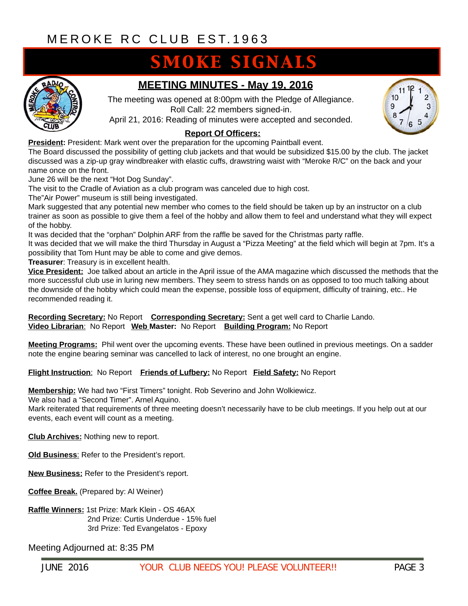### **SMOKE SIGNALS**



### **MEETING MINUTES - May 19, 2016**

The meeting was opened at 8:00pm with the Pledge of Allegiance. Roll Call: 22 members signed-in.

April 21, 2016: Reading of minutes were accepted and seconded.

#### **Report Of Officers:**

**President:** President: Mark went over the preparation for the upcoming Paintball event.

The Board discussed the possibility of getting club jackets and that would be subsidized \$15.00 by the club. The jacket discussed was a zip-up gray windbreaker with elastic cuffs, drawstring waist with "Meroke R/C" on the back and your name once on the front.

June 26 will be the next "Hot Dog Sunday".

The visit to the Cradle of Aviation as a club program was canceled due to high cost.

The"Air Power" museum is still being investigated.

Mark suggested that any potential new member who comes to the field should be taken up by an instructor on a club trainer as soon as possible to give them a feel of the hobby and allow them to feel and understand what they will expect of the hobby.

It was decided that the "orphan" Dolphin ARF from the raffle be saved for the Christmas party raffle.

It was decided that we will make the third Thursday in August a "Pizza Meeting" at the field which will begin at 7pm. It's a possibility that Tom Hunt may be able to come and give demos.

**Treasurer**: Treasury is in excellent health.

**Vice President:** Joe talked about an article in the April issue of the AMA magazine which discussed the methods that the more successful club use in luring new members. They seem to stress hands on as opposed to too much talking about the downside of the hobby which could mean the expense, possible loss of equipment, difficulty of training, etc.. He recommended reading it.

**Recording Secretary:** No Report **Corresponding Secretary:** Sent a get well card to Charlie Lando. **Video Librarian**: No Report **Web Master:** No Report **Building Program:** No Report

**Meeting Programs:** Phil went over the upcoming events. These have been outlined in previous meetings. On a sadder note the engine bearing seminar was cancelled to lack of interest, no one brought an engine.

**Flight Instruction**: No Report **Friends of Lufbery:** No Report **Field Safety:** No Report

**Membership:** We had two "First Timers" tonight. Rob Severino and John Wolkiewicz.

We also had a "Second Timer". Arnel Aquino.

Mark reiterated that requirements of three meeting doesn't necessarily have to be club meetings. If you help out at our events, each event will count as a meeting.

**Club Archives:** Nothing new to report.

**Old Business:** Refer to the President's report.

**New Business:** Refer to the President's report.

**Coffee Break.** (Prepared by: Al Weiner)

**Raffle Winners:** 1st Prize: Mark Klein - OS 46AX 2nd Prize: Curtis Underdue - 15% fuel 3rd Prize: Ted Evangelatos - Epoxy

Meeting Adjourned at: 8:35 PM

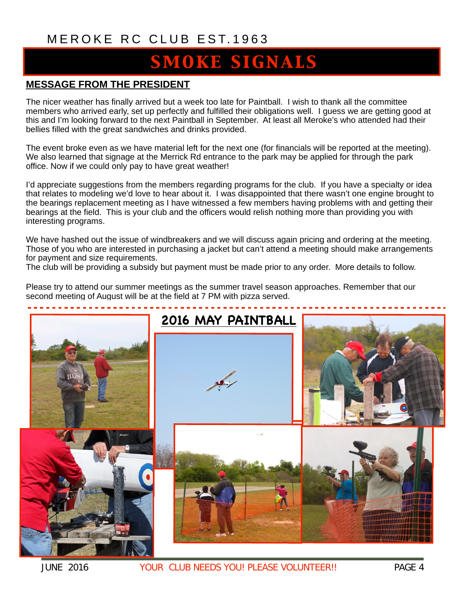### [MEROKE RC CLUB](http://www.meroke.com) EST.1963

### **SMOKE SIGNALS**

### **MESSAGE FROM THE PRESIDENT**

The nicer weather has finally arrived but a week too late for Paintball. I wish to thank all the committee members who arrived early, set up perfectly and fulfilled their obligations well. I guess we are getting good at this and I'm looking forward to the next Paintball in September. At least all Meroke's who attended had their bellies filled with the great sandwiches and drinks provided.

The event broke even as we have material left for the next one (for financials will be reported at the meeting). We also learned that signage at the Merrick Rd entrance to the park may be applied for through the park office. Now if we could only pay to have great weather!

I'd appreciate suggestions from the members regarding programs for the club. If you have a specialty or idea that relates to modeling we'd love to hear about it. I was disappointed that there wasn't one engine brought to the bearings replacement meeting as I have witnessed a few members having problems with and getting their bearings at the field. This is your club and the officers would relish nothing more than providing you with interesting programs.

We have hashed out the issue of windbreakers and we will discuss again pricing and ordering at the meeting. Those of you who are interested in purchasing a jacket but can't attend a meeting should make arrangements for payment and size requirements.

The club will be providing a subsidy but payment must be made prior to any order. More details to follow.

Please try to attend our summer meetings as the summer travel season approaches. Remember that our second meeting of August will be at the field at 7 PM with pizza served.



JUNE 2016 YOUR CLUB NEEDS YOU! PLEASE VOLUNTEER!! PAGE 4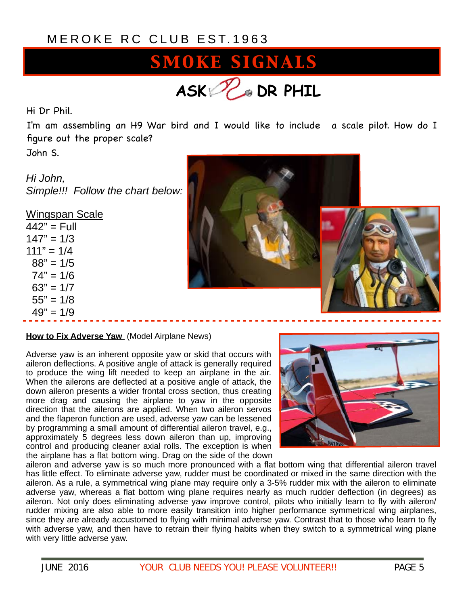### [MEROKE RC CLUB](http://www.meroke.com) EST.1963

## SMOKE SIGNALS **ASK DR PHIL**

Hi Dr Phil.

I'm am assembling an H9 War bird and I would like to include a scale pilot. How do I figure out the proper scale?

John S.

*Hi John, Simple!!! Follow the chart below:*

| <u>Wingspan Scale</u> |
|-----------------------|
| 442" = Full           |
| $147" = 1/3$          |
| $111" = 1/4$          |
| $88" = 1/5$           |
| $74" = 1/6$           |
| $63" = 1/7$           |
| $55" = 1/8$           |
| $49" = 1/9$           |
|                       |





#### **How to Fix Adverse Yaw** (Model Airplane News)

Adverse yaw is an inherent opposite yaw or skid that occurs with aileron deflections. A positive angle of attack is generally required to produce the wing lift needed to keep an airplane in the air. When the ailerons are deflected at a positive angle of attack, the down aileron presents a wider frontal cross section, thus creating more drag and causing the airplane to yaw in the opposite direction that the ailerons are applied. When two aileron servos and the flaperon function are used, adverse yaw can be lessened by programming a small amount of differential aileron travel, e.g., approximately 5 degrees less down aileron than up, improving control and producing cleaner axial rolls. The exception is when the airplane has a flat bottom wing. Drag on the side of the down



aileron and adverse yaw is so much more pronounced with a flat bottom wing that differential aileron travel has little effect. To eliminate adverse yaw, rudder must be coordinated or mixed in the same direction with the aileron. As a rule, a symmetrical wing plane may require only a 3-5% rudder mix with the aileron to eliminate adverse yaw, whereas a flat bottom wing plane requires nearly as much rudder deflection (in degrees) as aileron. Not only does eliminating adverse yaw improve control, pilots who initially learn to fly with aileron/ rudder mixing are also able to more easily transition into higher performance symmetrical wing airplanes, since they are already accustomed to flying with minimal adverse yaw. Contrast that to those who learn to fly with adverse yaw, and then have to retrain their flying habits when they switch to a symmetrical wing plane with very little adverse yaw.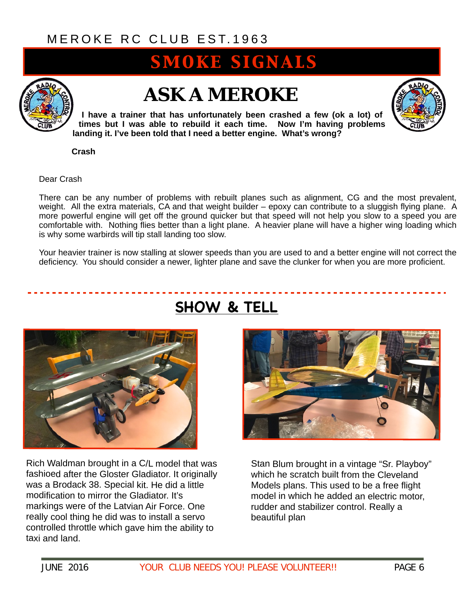### [MEROKE RC CLUB](http://www.meroke.com) EST.1963

### **SMOKE SIGNALS**



### *ASK A MEROKE*

**I have a trainer that has unfortunately been crashed a few (ok a lot) of times but I was able to rebuild it each time. Now I'm having problems landing it. I've been told that I need a better engine. What's wrong?** 

 **Crash** 

Dear Crash

There can be any number of problems with rebuilt planes such as alignment, CG and the most prevalent, weight. All the extra materials, CA and that weight builder – epoxy can contribute to a sluggish flying plane. A more powerful engine will get off the ground quicker but that speed will not help you slow to a speed you are comfortable with. Nothing flies better than a light plane. A heavier plane will have a higher wing loading which is why some warbirds will tip stall landing too slow.

Your heavier trainer is now stalling at slower speeds than you are used to and a better engine will not correct the deficiency. You should consider a newer, lighter plane and save the clunker for when you are more proficient.



Rich Waldman brought in a C/L model that was fashioed after the Gloster Gladiator. It originally was a Brodack 38. Special kit. He did a little modification to mirror the Gladiator. It's markings were of the Latvian Air Force. One really cool thing he did was to install a servo controlled throttle which gave him the ability to taxi and land.

### **SHOW & TELL**



Stan Blum brought in a vintage "Sr. Playboy" which he scratch built from the Cleveland Models plans. This used to be a free flight model in which he added an electric motor, rudder and stabilizer control. Really a beautiful plan